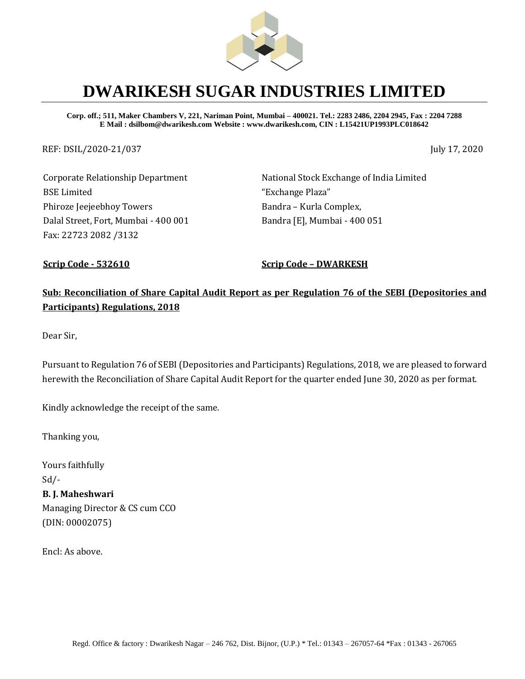

# **DWARIKESH SUGAR INDUSTRIES LIMITED**

**Corp. off.; 511, Maker Chambers V, 221, Nariman Point, Mumbai – 400021. Tel.: 2283 2486, 2204 2945, Fax : 2204 7288 E Mail : dsilbom@dwarikesh.com Website : www.dwarikesh.com, CIN : L15421UP1993PLC018642**

REF: DSIL/2020-21/037 July 17, 2020

Corporate Relationship Department BSE Limited Phiroze Jeejeebhoy Towers Dalal Street, Fort, Mumbai - 400 001 Fax: 22723 2082 /3132

National Stock Exchange of India Limited "Exchange Plaza" Bandra – Kurla Complex, Bandra [E], Mumbai - 400 051

**Scrip Code - 532610 Scrip Code – DWARKESH**

## **Sub: Reconciliation of Share Capital Audit Report as per Regulation 76 of the SEBI (Depositories and Participants) Regulations, 2018**

Dear Sir,

Pursuant to Regulation 76 of SEBI (Depositories and Participants) Regulations, 2018, we are pleased to forward herewith the Reconciliation of Share Capital Audit Report for the quarter ended June 30, 2020 as per format.

Kindly acknowledge the receipt of the same.

Thanking you,

Yours faithfully  $Sd$  /-**B. J. Maheshwari**  Managing Director & CS cum CCO (DIN: 00002075)

Encl: As above.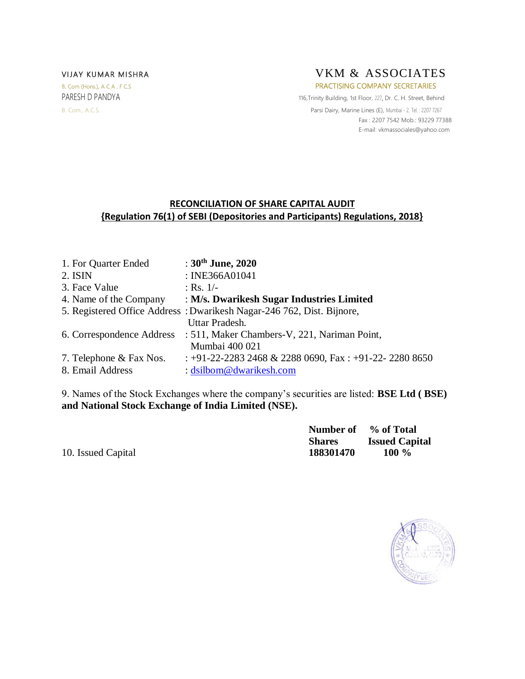

PARESH D PANDYA 116, Trinity Building, 1st Floor, 227, Dr. C. H. Street, Behind B. Com., A.C.S. **Parsi Dairy, Marine Lines (E), Mumbai - 2. Tel. : 2207 7267**  Fax : 2207 7542 Mob.: 93229 77388 E-mail[: vkmassociales@yahoo.com](mailto:vkmassociales@yahoo.com)

### **RECONCILIATION OF SHARE CAPITAL AUDIT {Regulation 76(1) of SEBI (Depositories and Participants) Regulations, 2018}**

| 1. For Quarter Ended    | : $30^{\text{th}}$ June, 2020                                          |
|-------------------------|------------------------------------------------------------------------|
| 2. ISIN                 | : INE366A01041                                                         |
| 3. Face Value           | : Rs. $1/-$                                                            |
| 4. Name of the Company  | : M/s. Dwarikesh Sugar Industries Limited                              |
|                         | 5. Registered Office Address: Dwarikesh Nagar-246 762, Dist. Bijnore,  |
|                         | Uttar Pradesh.                                                         |
|                         | 6. Correspondence Address : 511, Maker Chambers-V, 221, Nariman Point, |
|                         | Mumbai 400 021                                                         |
| 7. Telephone & Fax Nos. | $\pm$ +91-22-2283 2468 & 2288 0690, Fax $\pm$ +91-22-2280 8650         |
| 8. Email Address        | : dsilbom@dwarikesh.com                                                |

9. Names of the Stock Exchanges where the company's securities are listed: **BSE Ltd ( BSE) and National Stock Exchange of India Limited (NSE).**

|                    | Number of % of Total |                       |
|--------------------|----------------------|-----------------------|
|                    | <b>Shares</b>        | <b>Issued Capital</b> |
| 10. Issued Capital | 188301470            | 100 $\%$              |

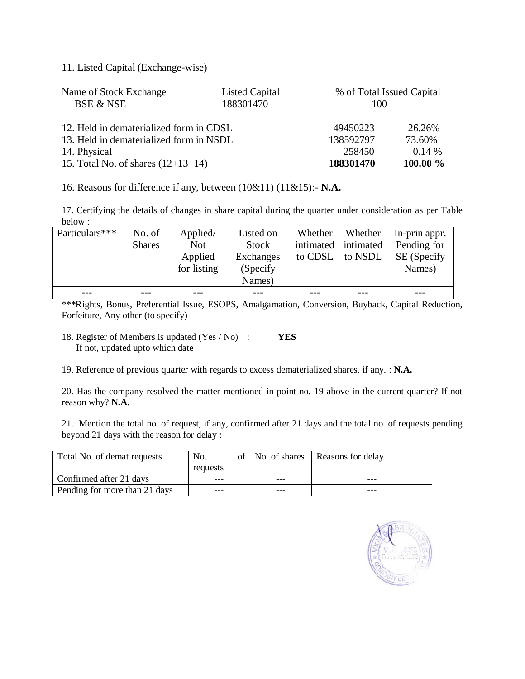#### 11. Listed Capital (Exchange-wise)

| Name of Stock Exchange                  | <b>Listed Capital</b> | % of Total Issued Capital |          |  |  |
|-----------------------------------------|-----------------------|---------------------------|----------|--|--|
| <b>BSE &amp; NSE</b>                    | 188301470             | 100                       |          |  |  |
|                                         |                       |                           |          |  |  |
| 12. Held in dematerialized form in CDSL | 49450223              | 26.26%                    |          |  |  |
| 13. Held in dematerialized form in NSDL |                       | 138592797                 | 73.60%   |  |  |
| 14. Physical                            | 258450                | 0.14%                     |          |  |  |
| 15. Total No. of shares $(12+13+14)$    |                       | 188301470                 | 100.00 % |  |  |

16. Reasons for difference if any, between (10&11) (11&15):- **N.A.**

17. Certifying the details of changes in share capital during the quarter under consideration as per Table below :

| Particulars*** | No. of        | Applied/    | Listed on    | Whether   | Whether   | In-prin appr. |
|----------------|---------------|-------------|--------------|-----------|-----------|---------------|
|                | <b>Shares</b> | <b>Not</b>  | <b>Stock</b> | intimated | intimated | Pending for   |
|                |               | Applied     | Exchanges    | to CDSL   | to NSDL   | SE (Specify   |
|                |               | for listing | (Specify)    |           |           | Names)        |
|                |               |             | Names)       |           |           |               |
|                |               |             |              |           |           |               |

\*\*\*Rights, Bonus, Preferential Issue, ESOPS, Amalgamation, Conversion, Buyback, Capital Reduction, Forfeiture, Any other (to specify)

18. Register of Members is updated (Yes / No) : **YES** If not, updated upto which date

19. Reference of previous quarter with regards to excess dematerialized shares, if any. : **N.A.**

20. Has the company resolved the matter mentioned in point no. 19 above in the current quarter? If not reason why? **N.A.**

21. Mention the total no. of request, if any, confirmed after 21 days and the total no. of requests pending beyond 21 days with the reason for delay :

| Total No. of demat requests   | No.      |     | of   No. of shares   Reasons for delay |
|-------------------------------|----------|-----|----------------------------------------|
|                               | requests |     |                                        |
| Confirmed after 21 days       | ---      | --- |                                        |
| Pending for more than 21 days | ---      | --- |                                        |

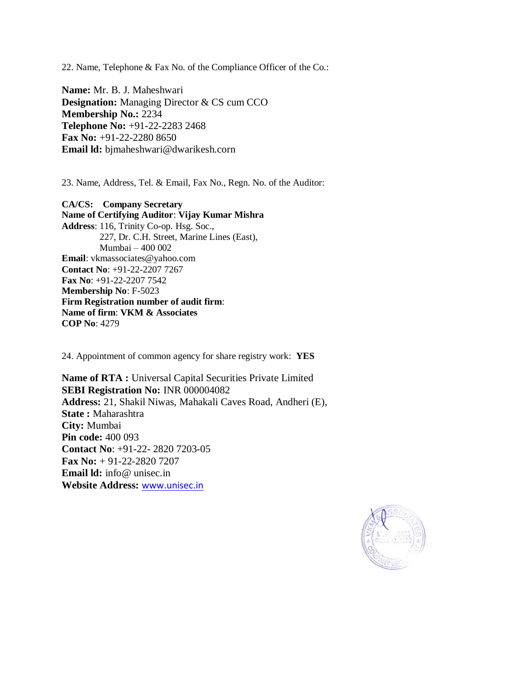22. Name, Telephone & Fax No. of the Compliance Officer of the Co.:

**Name:** Mr. B. J. Maheshwari **Designation:** Managing Director & CS cum CCO **Membership No.:** 2234 **Telephone No:** +91-22-2283 2468 **Fax No:** +91-22-2280 8650 **Email ld:** bjmaheshwari@dwarikesh.corn

23. Name, Address, Tel. & Email, Fax No., Regn. No. of the Auditor:

**CA/CS: Company Secretary Name of Certifying Auditor**: **Vijay Kumar Mishra Address**: 116, Trinity Co-op. Hsg. Soc., 227, Dr. C.H. Street, Marine Lines (East), Mumbai – 400 002 **Email**: vkmassociates@yahoo.com **Contact No**: +91-22-2207 7267 **Fax No**: +91-22-2207 7542 **Membership No**: F-5023 **Firm Registration number of audit firm**: **Name of firm**: **VKM & Associates COP No**: 4279

24. Appointment of common agency for share registry work: **YES**

**Name of RTA :** Universal Capital Securities Private Limited **SEBI Registration No:** INR 000004082 **Address:** 21, Shakil Niwas, Mahakali Caves Road, Andheri (E), **State :** Maharashtra **City:** Mumbai **Pin code:** 400 093 **Contact No**: +91-22- 2820 7203-05 **Fax No:** + 91-22-2820 7207 **Email ld:** info@ unisec.in **Website Address:** [www.unisec.in](http://www.unisec.in/)